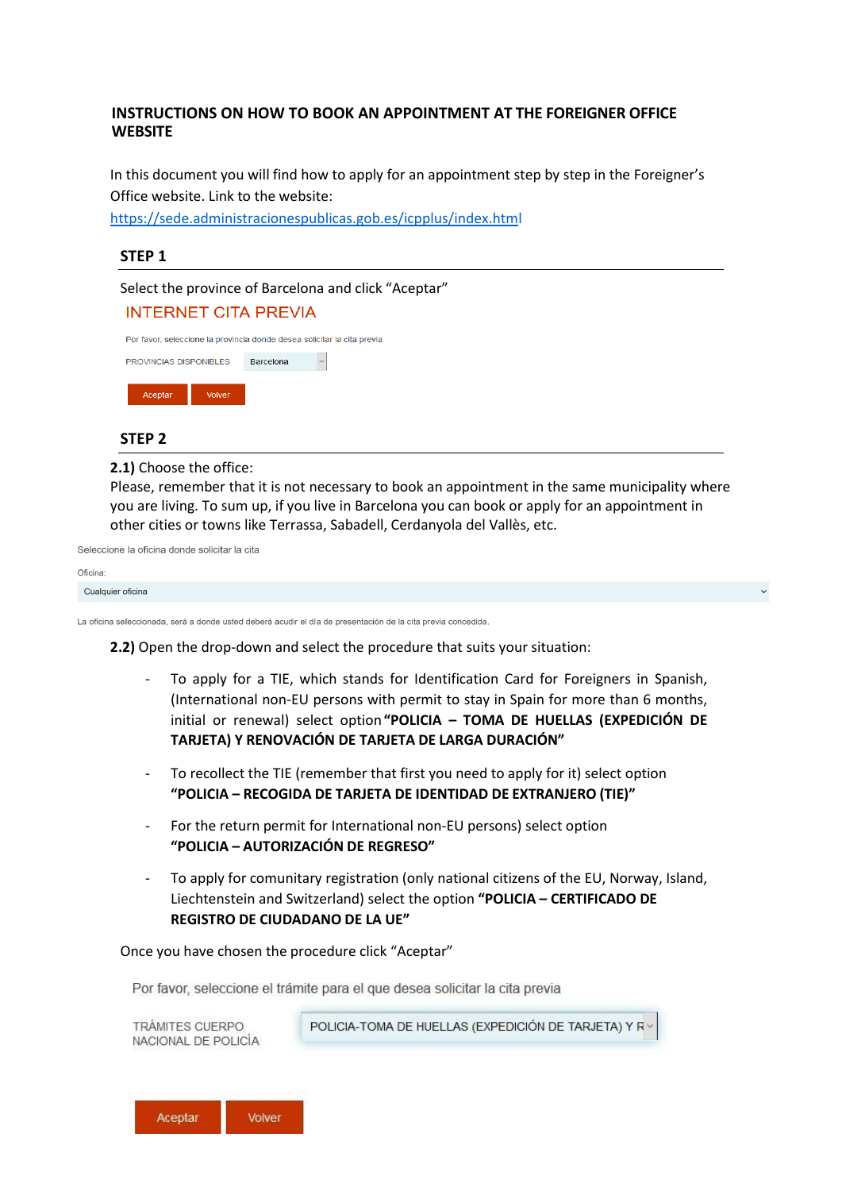# **INSTRUCTIONS ON HOW TO BOOK AN APPOINTMENT AT THE FOREIGNER OFFICE WEBSITE**

In this document you will find how to apply for an appointment step by step in the Foreigner's Office website. Link to the website:

<https://sede.administracionespublicas.gob.es/icpplus/index.html>

## **STEP 1**

Select the province of Barcelona and click "Aceptar" **INTERNET CITA PREVIA** 

|                               |                  | Por favor, seleccione la provincia donde desea solicitar la cita previa. |  |
|-------------------------------|------------------|--------------------------------------------------------------------------|--|
| <b>PROVINCIAS DISPONIBLES</b> | <b>Barcelona</b> |                                                                          |  |
| Acentar                       |                  |                                                                          |  |

#### **STEP 2**

**2.1)** Choose the office:

Please, remember that it is not necessary to book an appointment in the same municipality where you are living. To sum up, if you live in Barcelona you can book or apply for an appointment in other cities or towns like Terrassa, Sabadell, Cerdanyola del Vallès, etc.

Seleccione la oficina donde solicitar la cita

#### Oficina:

Cualquier oficina

La oficina seleccionada, será a donde usted deberá acudir el día de presentación de la cita previa concedida.

**2.2)** Open the drop-down and select the procedure that suits your situation:

- To apply for a TIE, which stands for Identification Card for Foreigners in Spanish, (International non-EU persons with permit to stay in Spain for more than 6 months, initial or renewal) select option**"POLICIA – TOMA DE HUELLAS (EXPEDICIÓN DE TARJETA) Y RENOVACIÓN DE TARJETA DE LARGA DURACIÓN"**
- To recollect the TIE (remember that first you need to apply for it) select option **"POLICIA – RECOGIDA DE TARJETA DE IDENTIDAD DE EXTRANJERO (TIE)"**
- For the return permit for International non-EU persons) select option **"POLICIA – AUTORIZACIÓN DE REGRESO"**
- To apply for comunitary registration (only national citizens of the EU, Norway, Island, Liechtenstein and Switzerland) select the option **"POLICIA – CERTIFICADO DE REGISTRO DE CIUDADANO DE LA UE"**

Once you have chosen the procedure click "Aceptar"

Por favor, seleccione el trámite para el que desea solicitar la cita previa



POLICIA-TOMA DE HUELLAS (EXPEDICIÓN DE TARJETA) Y R

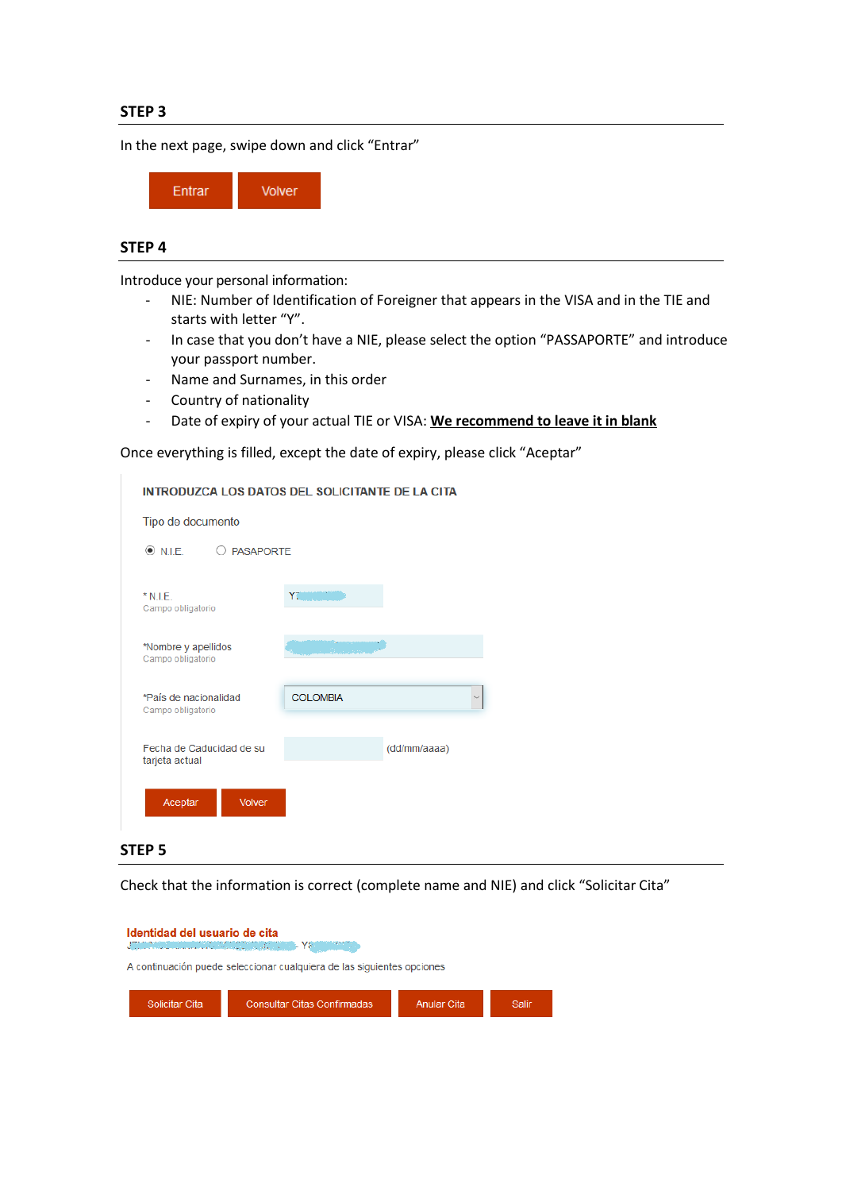In the next page, swipe down and click "Entrar"



# **STEP 4**

Introduce your personal information:

- NIE: Number of Identification of Foreigner that appears in the VISA and in the TIE and starts with letter "Y".
- In case that you don't have a NIE, please select the option "PASSAPORTE" and introduce your passport number.
- Name and Surnames, in this order
- Country of nationality
- Date of expiry of your actual TIE or VISA: **We recommend to leave it in blank**

Once everything is filled, except the date of expiry, please click "Aceptar"

| <b>INTRODUZCA LOS DATOS DEL SOLICITANTE DE LA CITA</b> |                 |              |
|--------------------------------------------------------|-----------------|--------------|
| Tipo de documento                                      |                 |              |
| $\circledcirc$ NIF<br>O PASAPORTE                      |                 |              |
| $*$ N.I.E.<br>Campo obligatorio                        | Y.              |              |
| *Nombre y apellidos<br>Campo obligatorio               |                 |              |
| *País de nacionalidad<br>Campo obligatorio             | <b>COLOMBIA</b> |              |
| Fecha de Caducidad de su<br>tarjeta actual             |                 | (dd/mm/aaaa) |
| Aceptar<br><b>Volver</b>                               |                 |              |

## **STEP 5**

Check that the information is correct (complete name and NIE) and click "Solicitar Cita"

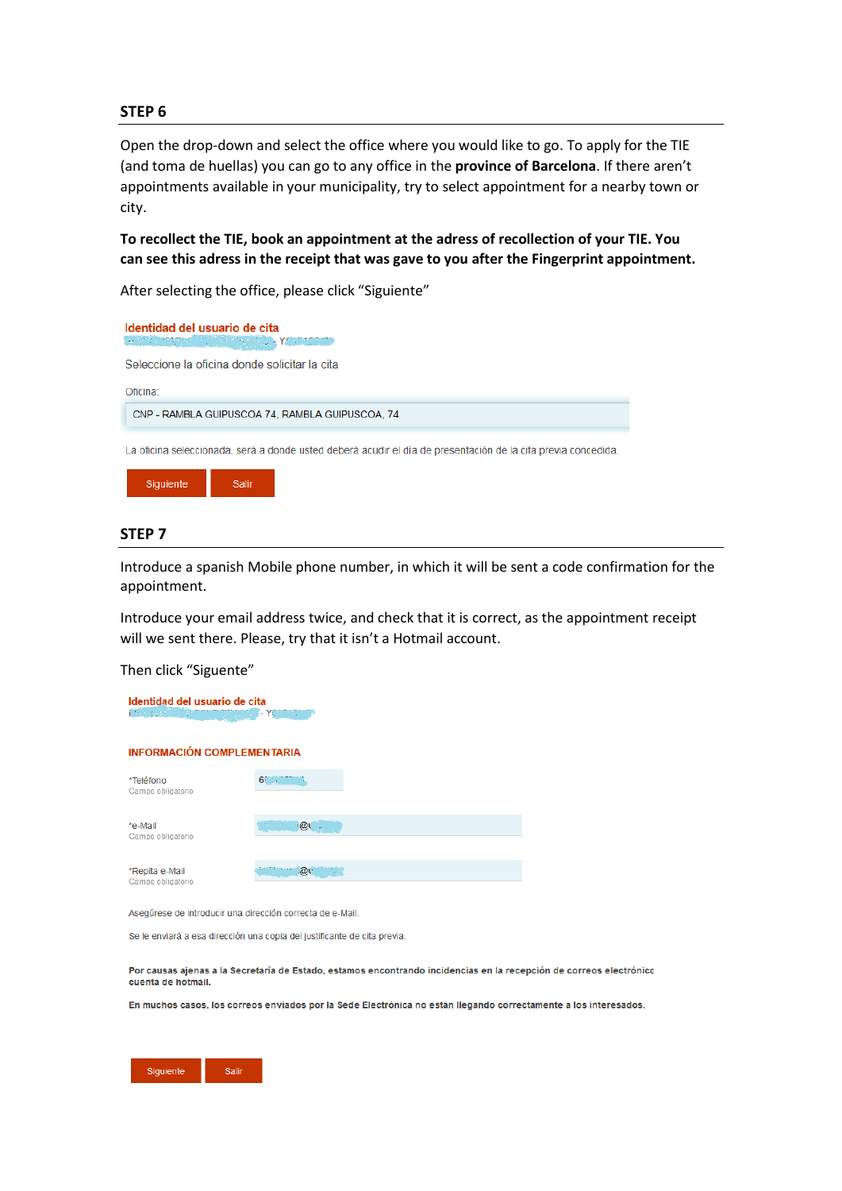Open the drop-down and select the office where you would like to go. To apply for the TIE (and toma de huellas) you can go to any office in the **province of Barcelona**. If there aren't appointments available in your municipality, try to select appointment for a nearby town or city.

**To recollect the TIE, book an appointment at the adress of recollection of your TIE. You can see this adress in the receipt that was gave to you after the Fingerprint appointment.**

After selecting the office, please click "Siguiente"





## **STEP 7**

Introduce a spanish Mobile phone number, in which it will be sent a code confirmation for the appointment.

Introduce your email address twice, and check that it is correct, as the appointment receipt will we sent there. Please, try that it isn't a Hotmail account.

Then click "Siguente"

| Identidad del usuario de cita<br><b>CONTRACTOR</b><br>Yan<br>۰ |          |  |  |  |  |  |  |
|----------------------------------------------------------------|----------|--|--|--|--|--|--|
| <b>INFORMACIÓN COMPLEMENTARIA</b>                              |          |  |  |  |  |  |  |
| *Teléfono<br>Campo obligatorio                                 | $65 - 1$ |  |  |  |  |  |  |
| *e-Mail<br>Campo obligatorio                                   | ்@ட்     |  |  |  |  |  |  |
| *Repita e-Mail<br>Campo obligatorio                            | ு .@∟    |  |  |  |  |  |  |

Asegúrese de introducir una dirección correcta de e-Mail.

Se le enviará a esa dirección una copia del justificante de cita previa.

Por causas ajenas a la Secretaría de Estado, estamos encontrando incidencias en la recepción de correos electrónico cuenta de hotmail.

En muchos casos, los correos enviados por la Sede Electrónica no están llegando correctamente a los interesados.

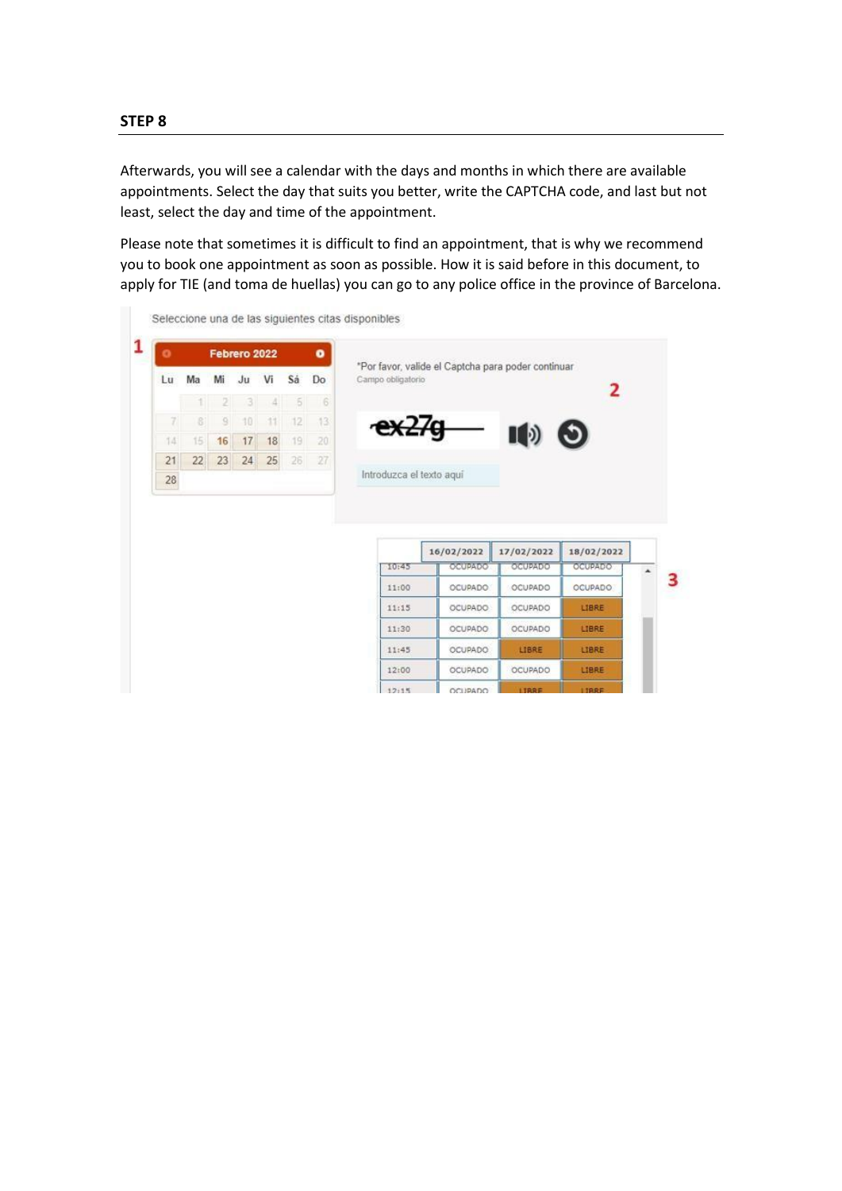Afterwards, you will see a calendar with the days and months in which there are available appointments. Select the day that suits you better, write the CAPTCHA code, and last but not least, select the day and time of the appointment.

Please note that sometimes it is difficult to find an appointment, that is why we recommend you to book one appointment as soon as possible. How it is said before in this document, to apply for TIE (and toma de huellas) you can go to any police office in the province of Barcelona.

| o  |    |                | Febrero 2022  |     |                | ۰  |                          | *Por favor, valide el Captcha para poder continuar |            |                |  |
|----|----|----------------|---------------|-----|----------------|----|--------------------------|----------------------------------------------------|------------|----------------|--|
| Lu | Ma | Mi             | Ju            | Vi  | Sá             | Do | Campo obligatorio        |                                                    |            |                |  |
|    |    | 2 <sup>1</sup> | $\rightarrow$ | 4.1 | 5 <sup>1</sup> | 6  |                          |                                                    |            | 2              |  |
| 71 | 81 | $\mathbf{9}$   | 10            | 11  | 12             | 13 | ex27g                    |                                                    |            |                |  |
| 14 | 15 | 16             | 17            | 18  | 19             | 20 |                          |                                                    | ID         | O)             |  |
| 21 | 22 | 23             | 24            | 25  | 26             | 27 |                          |                                                    |            |                |  |
| 28 |    |                |               |     |                |    | Introduzca el texto aquí |                                                    |            |                |  |
|    |    |                |               |     |                |    |                          |                                                    |            |                |  |
|    |    |                |               |     |                |    |                          | 16/02/2022                                         | 17/02/2022 | 18/02/2022     |  |
|    |    |                |               |     |                |    | 10:45                    | OCUPADO                                            | OCUPADO    | OCUPADO        |  |
|    |    |                |               |     |                |    | 11:00                    | OCUPADO:                                           | OCUPADO    | <b>OCUPADO</b> |  |
|    |    |                |               |     |                |    | 11:15                    | OCUPADO                                            | OCUPADO    | LIBRE          |  |
|    |    |                |               |     |                |    | 11:30                    | <b>OCUPADO</b>                                     | OCUPADO    | LIBRE          |  |
|    |    |                |               |     |                |    | 11:45                    | OCUPADO                                            | LIBRE      | LIBRE          |  |

 $12115$ 

OCUPADO

Ш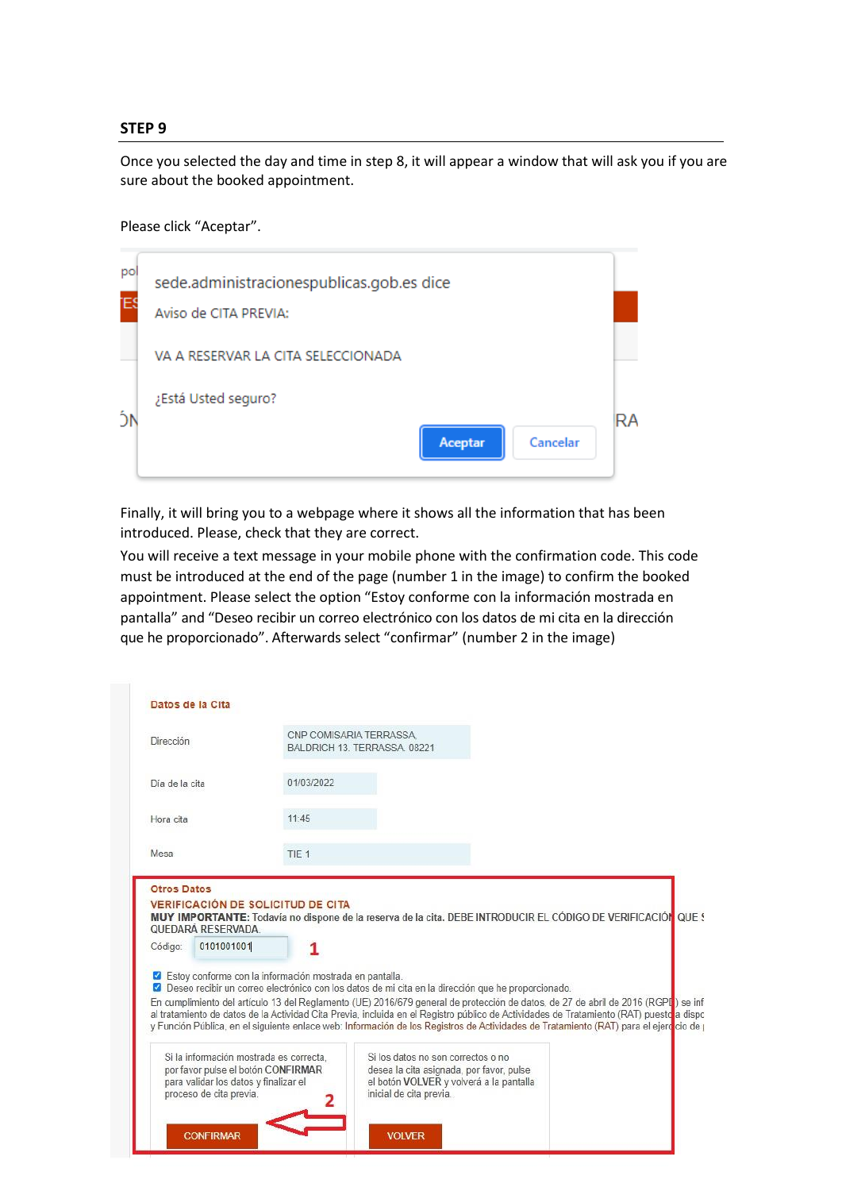Once you selected the day and time in step 8, it will appear a window that will ask you if you are sure about the booked appointment.

Please click "Aceptar".

| pol<br>ΈŚ | sede.administracionespublicas.gob.es dice<br>Aviso de CITA PREVIA: |    |
|-----------|--------------------------------------------------------------------|----|
|           | VA A RESERVAR LA CITA SELECCIONADA                                 |    |
|           | ¿Está Usted seguro?                                                | RA |
|           | Cancelar<br>Aceptar                                                |    |

Finally, it will bring you to a webpage where it shows all the information that has been introduced. Please, check that they are correct.

You will receive a text message in your mobile phone with the confirmation code. This code must be introduced at the end of the page (number 1 in the image) to confirm the booked appointment. Please select the option "Estoy conforme con la información mostrada en pantalla" and "Deseo recibir un correo electrónico con los datos de mi cita en la dirección que he proporcionado". Afterwards select "confirmar" (number 2 in the image)

| Dirección      |                                                                                                                                                                                                                                                                                   |                  | CNP COMISARIA TERRASSA<br>BALDRICH 13, TERRASSA, 08221                                                       |                                                                                |  |  |
|----------------|-----------------------------------------------------------------------------------------------------------------------------------------------------------------------------------------------------------------------------------------------------------------------------------|------------------|--------------------------------------------------------------------------------------------------------------|--------------------------------------------------------------------------------|--|--|
|                |                                                                                                                                                                                                                                                                                   |                  |                                                                                                              |                                                                                |  |  |
| Día de la cita |                                                                                                                                                                                                                                                                                   | 01/03/2022       |                                                                                                              |                                                                                |  |  |
| Hora cita      |                                                                                                                                                                                                                                                                                   | 11.45            |                                                                                                              |                                                                                |  |  |
| Mesa           |                                                                                                                                                                                                                                                                                   | TIE <sub>1</sub> |                                                                                                              |                                                                                |  |  |
|                | QUEDARÁ RESERVADA                                                                                                                                                                                                                                                                 |                  | MUY IMPORTANTE: Todavía no dispone de la reserva de la cita. DEBE INTRODUCIR EL CÓDIGO DE VERIFICACIÓN QUE ! |                                                                                |  |  |
| Código:        | 0101001001                                                                                                                                                                                                                                                                        |                  |                                                                                                              |                                                                                |  |  |
|                | Estoy conforme con la información mostrada en pantalla.                                                                                                                                                                                                                           |                  |                                                                                                              |                                                                                |  |  |
|                | 2 Deseo recibir un correo electrónico con los datos de mi cita en la dirección que he proporcionado.<br>En cumplimiento del artículo 13 del Reglamento (UE) 2016/679 general de protección de datos, de 27 de abril de 2016 (RGPL) se inf                                         |                  |                                                                                                              |                                                                                |  |  |
|                | al tratamiento de datos de la Actividad Cita Previa, incluida en el Registro público de Actividades de Tratamiento (RAT) puesto a dispo<br>y Función Pública, en el siguiente enlace web: Información de los Registros de Actividades de Tratamiento (RAT) para el ejercicio de j |                  |                                                                                                              |                                                                                |  |  |
|                | Si la información mostrada es correcta.<br>por favor pulse el botón CONFIRMAR                                                                                                                                                                                                     |                  |                                                                                                              | Si los datos no son correctos o no<br>desea la cita asignada, por favor, pulse |  |  |
|                | para validar los datos y finalizar el                                                                                                                                                                                                                                             |                  |                                                                                                              | el botón VOLVER y volverá a la pantalla                                        |  |  |